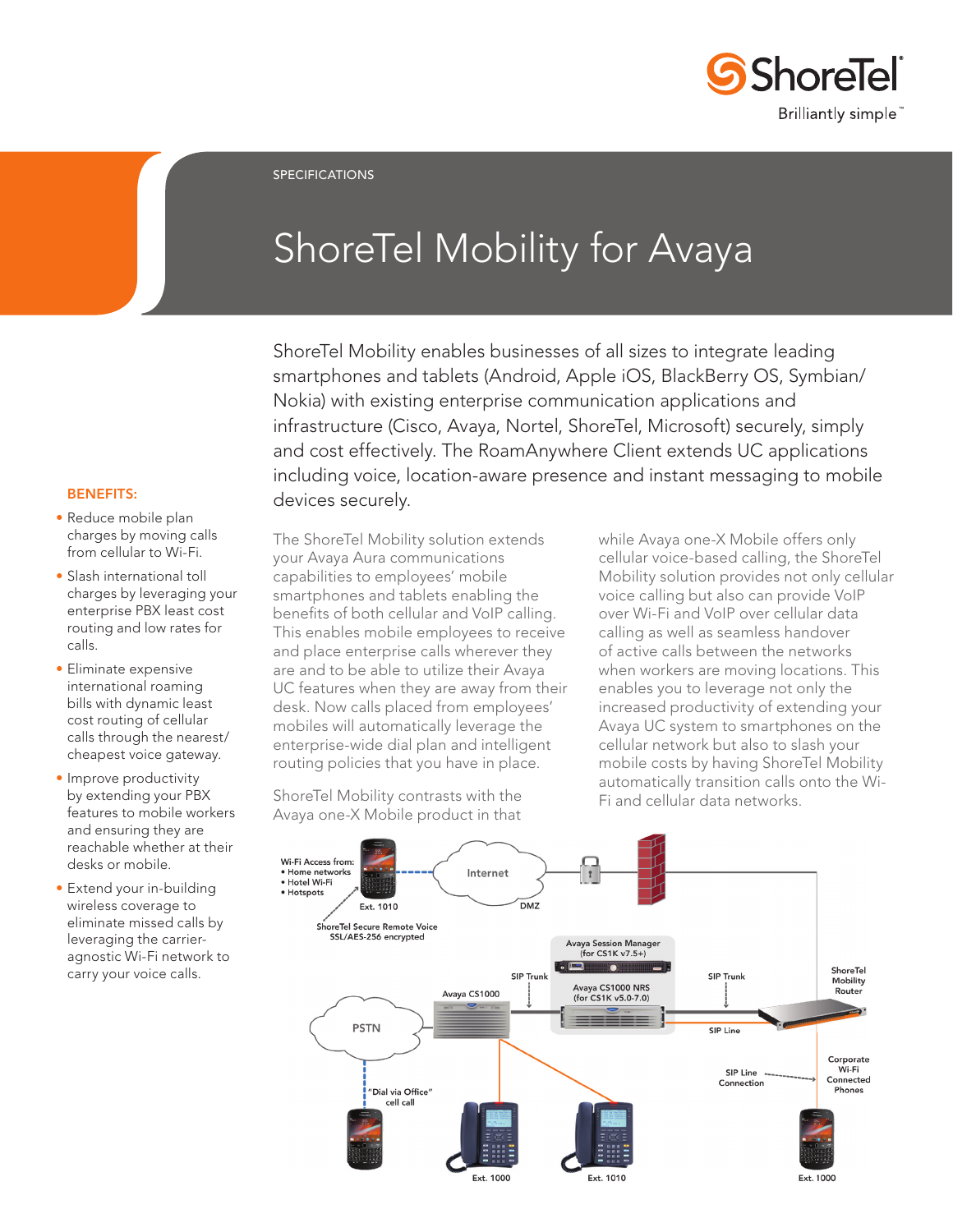

SPECIFICATIONS

# ShoreTel Mobility for Avaya

ShoreTel Mobility enables businesses of all sizes to integrate leading smartphones and tablets (Android, Apple iOS, BlackBerry OS, Symbian/ Nokia) with existing enterprise communication applications and infrastructure (Cisco, Avaya, Nortel, ShoreTel, Microsoft) securely, simply and cost effectively. The RoamAnywhere Client extends UC applications including voice, location-aware presence and instant messaging to mobile devices securely.

## BENEFITS:

- Reduce mobile plan charges by moving calls from cellular to Wi-Fi.
- Slash international toll charges by leveraging your enterprise PBX least cost routing and low rates for calls.
- Eliminate expensive international roaming bills with dynamic least cost routing of cellular calls through the nearest/ cheapest voice gateway.
- Improve productivity by extending your PBX features to mobile workers and ensuring they are reachable whether at their desks or mobile.
- Extend your in-building wireless coverage to eliminate missed calls by leveraging the carrieragnostic Wi-Fi network to carry your voice calls.

The ShoreTel Mobility solution extends your Avaya Aura communications capabilities to employees' mobile smartphones and tablets enabling the benefits of both cellular and VoIP calling. This enables mobile employees to receive and place enterprise calls wherever they are and to be able to utilize their Avaya UC features when they are away from their desk. Now calls placed from employees' mobiles will automatically leverage the enterprise-wide dial plan and intelligent routing policies that you have in place.

ShoreTel Mobility contrasts with the

while Avaya one-X Mobile offers only cellular voice-based calling, the ShoreTel Mobility solution provides not only cellular voice calling but also can provide VoIP over Wi-Fi and VoIP over cellular data calling as well as seamless handover of active calls between the networks when workers are moving locations. This enables you to leverage not only the increased productivity of extending your Avaya UC system to smartphones on the cellular network but also to slash your mobile costs by having ShoreTel Mobility automatically transition calls onto the Wi-Fi and cellular data networks.